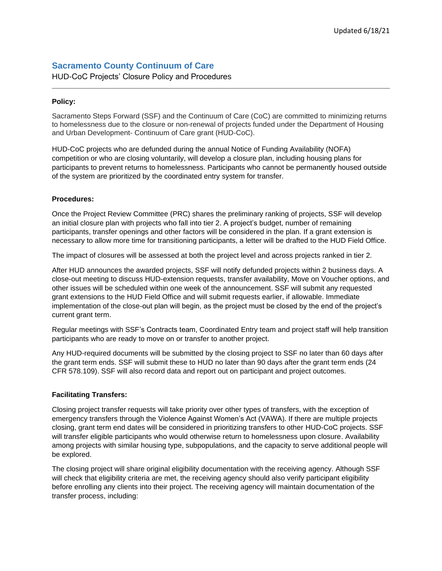## **Sacramento County Continuum of Care**

HUD-CoC Projects' Closure Policy and Procedures

## **Policy:**

Sacramento Steps Forward (SSF) and the Continuum of Care (CoC) are committed to minimizing returns to homelessness due to the closure or non-renewal of projects funded under the Department of Housing and Urban Development- Continuum of Care grant (HUD-CoC).

HUD-CoC projects who are defunded during the annual Notice of Funding Availability (NOFA) competition or who are closing voluntarily, will develop a closure plan, including housing plans for participants to prevent returns to homelessness. Participants who cannot be permanently housed outside of the system are prioritized by the coordinated entry system for transfer.

## **Procedures:**

Once the Project Review Committee (PRC) shares the preliminary ranking of projects, SSF will develop an initial closure plan with projects who fall into tier 2. A project's budget, number of remaining participants, transfer openings and other factors will be considered in the plan. If a grant extension is necessary to allow more time for transitioning participants, a letter will be drafted to the HUD Field Office.

The impact of closures will be assessed at both the project level and across projects ranked in tier 2.

After HUD announces the awarded projects, SSF will notify defunded projects within 2 business days. A close-out meeting to discuss HUD-extension requests, transfer availability, Move on Voucher options, and other issues will be scheduled within one week of the announcement. SSF will submit any requested grant extensions to the HUD Field Office and will submit requests earlier, if allowable. Immediate implementation of the close-out plan will begin, as the project must be closed by the end of the project's current grant term.

Regular meetings with SSF's Contracts team, Coordinated Entry team and project staff will help transition participants who are ready to move on or transfer to another project.

Any HUD-required documents will be submitted by the closing project to SSF no later than 60 days after the grant term ends. SSF will submit these to HUD no later than 90 days after the grant term ends (24 CFR 578.109). SSF will also record data and report out on participant and project outcomes.

## **Facilitating Transfers:**

Closing project transfer requests will take priority over other types of transfers, with the exception of emergency transfers through the Violence Against Women's Act (VAWA). If there are multiple projects closing, grant term end dates will be considered in prioritizing transfers to other HUD-CoC projects. SSF will transfer eligible participants who would otherwise return to homelessness upon closure. Availability among projects with similar housing type, subpopulations, and the capacity to serve additional people will be explored.

The closing project will share original eligibility documentation with the receiving agency. Although SSF will check that eligibility criteria are met, the receiving agency should also verify participant eligibility before enrolling any clients into their project. The receiving agency will maintain documentation of the transfer process, including: